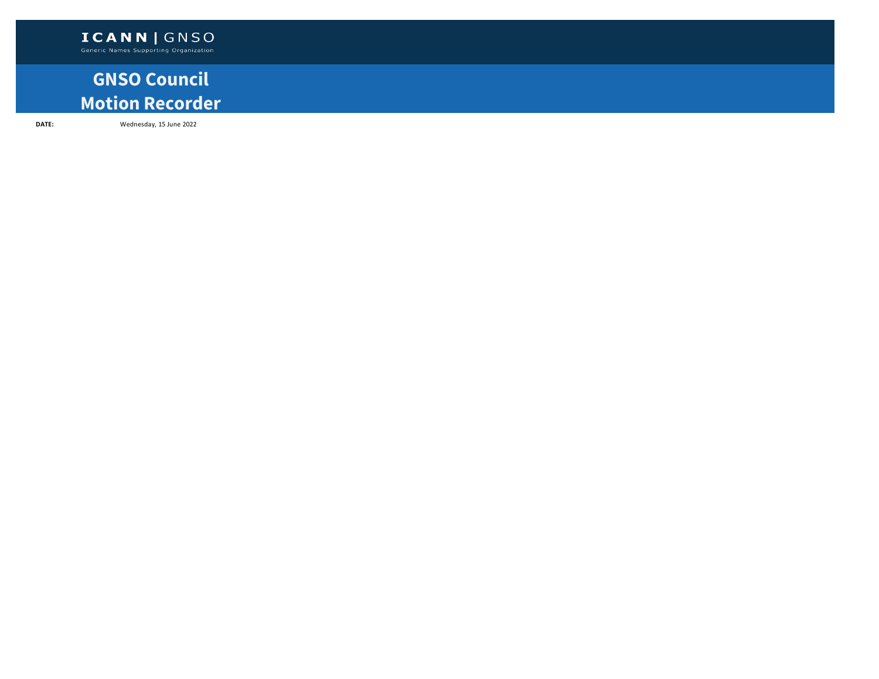## **GNSO Council Motion Recorder**

**DATE:** Wednesday, 15 June 2022